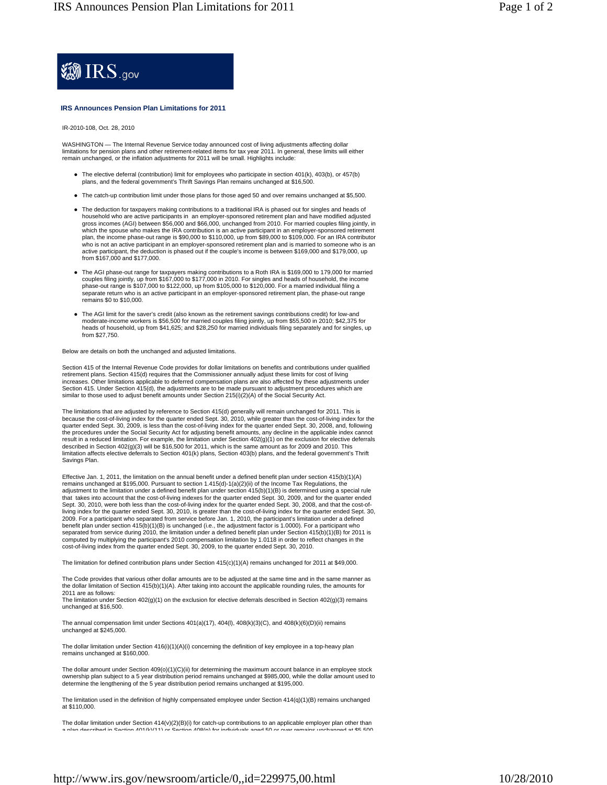

## **IRS Announces Pension Plan Limitations for 2011**

IR-2010-108, Oct. 28, 2010

WASHINGTON — The Internal Revenue Service today announced cost of living adjustments affecting dollar limitations for pension plans and other retirement-related items for tax year 2011. In general, these limits will either remain unchanged, or the inflation adjustments for 2011 will be small. Highlights include:

- The elective deferral (contribution) limit for employees who participate in section 401(k), 403(b), or 457(b) plans, and the federal government's Thrift Savings Plan remains unchanged at \$16,500.
- The catch-up contribution limit under those plans for those aged 50 and over remains unchanged at \$5,500.
- The deduction for taxpayers making contributions to a traditional IRA is phased out for singles and heads of household who are active participants in an employer-sponsored retirement plan and have modified adjusted gross incomes (AGI) between \$56,000 and \$66,000, unchanged from 2010. For married couples filing jointly, in which the spouse who makes the IRA contribution is an active participant in an employer-sponsored retirement plan, the income phase-out range is \$90,000 to \$110,000, up from \$89,000 to \$109,000. For an IRA contributor who is not an active participant in an employer-sponsored retirement plan and is married to someone who is an active participant, the deduction is phased out if the couple's income is between \$169,000 and \$179,000, up from \$167,000 and \$177,000.
- The AGI phase-out range for taxpayers making contributions to a Roth IRA is \$169,000 to 179,000 for married couples filing jointly, up from \$167,000 to \$177,000 in 2010. For singles and heads of household, the income phase-out range is \$107,000 to \$122,000, up from \$105,000 to \$120,000. For a married individual filing a separate return who is an active participant in an employer-sponsored retirement plan, the phase-out range remains \$0 to \$10,000.
- The AGI limit for the saver's credit (also known as the retirement savings contributions credit) for low-and moderate-income workers is \$56,500 for married couples filing jointly, up from \$55,500 in 2010; \$42,375 for heads of household, up from \$41,625; and \$28,250 for married individuals filing separately and for singles, up from \$27,750.

## Below are details on both the unchanged and adjusted limitations.

Section 415 of the Internal Revenue Code provides for dollar limitations on benefits and contributions under qualified retirement plans. Section 415(d) requires that the Commissioner annually adjust these limits for cost of living increases. Other limitations applicable to deferred compensation plans are also affected by these adjustments under Section 415. Under Section 415(d), the adjustments are to be made pursuant to adjustment procedures which are similar to those used to adjust benefit amounts under Section 215(i)(2)(A) of the Social Security Act.

The limitations that are adjusted by reference to Section 415(d) generally will remain unchanged for 2011. This is<br>because the cost-of-living index for the quarter ended Sept. 30, 2010, while greater than the cost-of-livin quarter ended Sept. 30, 2009, is less than the cost-of-living index for the quarter ended Sept. 30, 2008, and, following the procedures under the Social Security Act for adjusting benefit amounts, any decline in the applicable index cannot<br>result in a reduced limitation. For example, the limitation under Section 402(g)(1) on the exclusion fo described in Section 402(g)(3) will be \$16,500 for 2011, which is the same amount as for 2009 and 2010. This limitation affects elective deferrals to Section 401(k) plans, Section 403(b) plans, and the federal government's Thrift Savings Plan.

Effective Jan. 1, 2011, the limitation on the annual benefit under a defined benefit plan under section 415(b)(1)(A) remains unchanged at \$195,000. Pursuant to section 1.415(d)-1(a)(2)(ii) of the Income Tax Regulations, the adjustment to the limitation under a defined benefit plan under section 415(b)(1)(B) is determined using a special rule that takes into account that the cost-of-living indexes for the quarter ended Sept. 30, 2009, and for the quarter ended Sept. 30, 2010, were both less than the cost-of-living index for the quarter ended Sept. 30, 2008, and that the cost-ofliving index for the quarter ended Sept. 30, 2010, is greater than the cost-of-living index for the quarter ended Sept. 30,<br>2009. For a participant who separated from service before Jan. 1, 2010, the participant's limitati benefit plan under section 415(b)(1)(B) is unchanged (i.e., the adjustment factor is 1.0000). For a participant who separated from service during 2010, the limitation under a defined benefit plan under Section 415(b)(1)(B) for 2011 is computed by multiplying the participant's 2010 compensation limitation by 1.0118 in order to reflect changes in the cost-of-living index from the quarter ended Sept. 30, 2009, to the quarter ended Sept. 30, 2010.

The limitation for defined contribution plans under Section 415(c)(1)(A) remains unchanged for 2011 at \$49,000.

The Code provides that various other dollar amounts are to be adjusted at the same time and in the same manner as the dollar limitation of Section 415(b)(1)(A). After taking into account the applicable rounding rules, the amounts for 2011 are as follows:

The limitation under Section 402(g)(1) on the exclusion for elective deferrals described in Section 402(g)(3) remains unchanged at \$16,500.

The annual compensation limit under Sections 401(a)(17), 404(l), 408(k)(3)(C), and 408(k)(6)(D)(ii) remains unchanged at \$245,000.

The dollar limitation under Section 416(i)(1)(A)(i) concerning the definition of key employee in a top-heavy plan remains unchanged at \$160,000.

The dollar amount under Section 409(o)(1)(C)(ii) for determining the maximum account balance in an employee stock ownership plan subject to a 5 year distribution period remains unchanged at \$985,000, while the dollar amount used to<br>determine the lengthening of the 5 year distribution period remains unchanged at \$195,000.

The limitation used in the definition of highly compensated employee under Section 414(q)(1)(B) remains unchanged at \$110,000.

The dollar limitation under Section 414(v)(2)(B)(i) for catch-up contributions to an applicable employer plan other than<br>a nlan deecribed in Section 401/k)(11) or Section 408(n) for individuals aged 50 or over remains unch